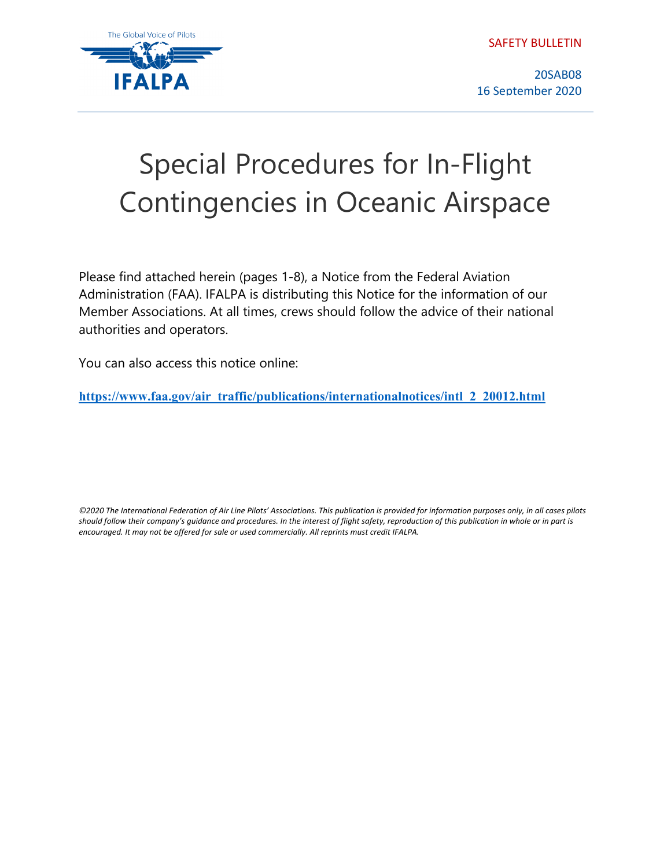SAFETY BULLETIN



20SAB08 16 September 2020

# Special Procedures for In-Flight Contingencies in Oceanic Airspace

Please find attached herein (pages 1-8), a Notice from the Federal Aviation Administration (FAA). IFALPA is distributing this Notice for the information of our Member Associations. At all times, crews should follow the advice of their national authorities and operators.

You can also access this notice online:

**[https://www.faa.gov/air\\_traffic/publications/internationalnotices/intl\\_2\\_20012.html](https://www.faa.gov/air_traffic/publications/internationalnotices/intl_2_20012.html)**

*©2020 The International Federation of Air Line Pilots' Associations. This publication is provided for information purposes only, in all cases pilots should follow their company's guidance and procedures. In the interest of flight safety, reproduction of this publication in whole or in part is encouraged. It may not be offered for sale or used commercially. All reprints must credit IFALPA.*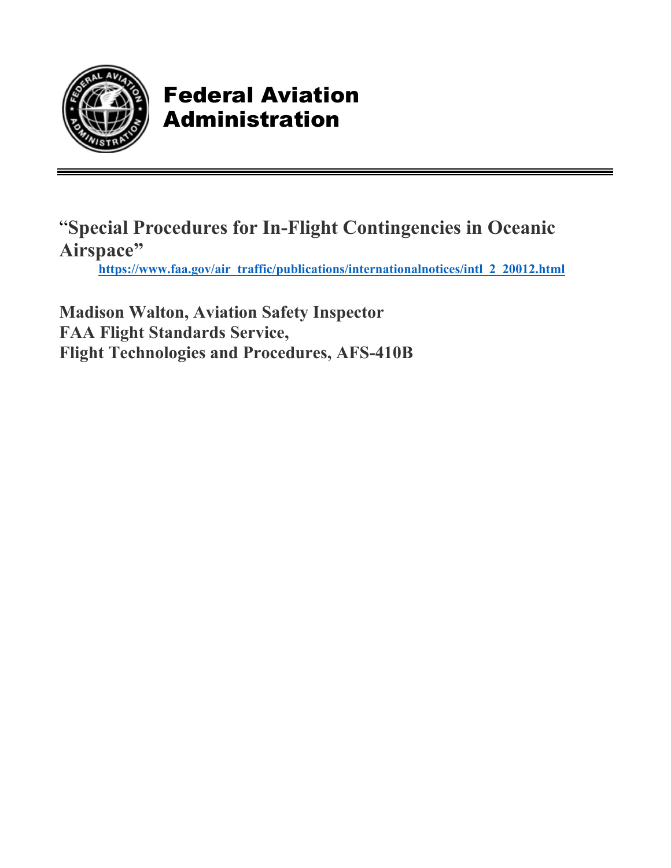

### Federal Aviation Administration

"**Special Procedures for In-Flight Contingencies in Oceanic Airspace" [https://www.faa.gov/air\\_traffic/publications/internationalnotices/intl\\_2\\_20012.html](https://www.faa.gov/air_traffic/publications/internationalnotices/intl_2_20012.html)** 

**Madison Walton, Aviation Safety Inspector FAA Flight Standards Service, Flight Technologies and Procedures, AFS-410B**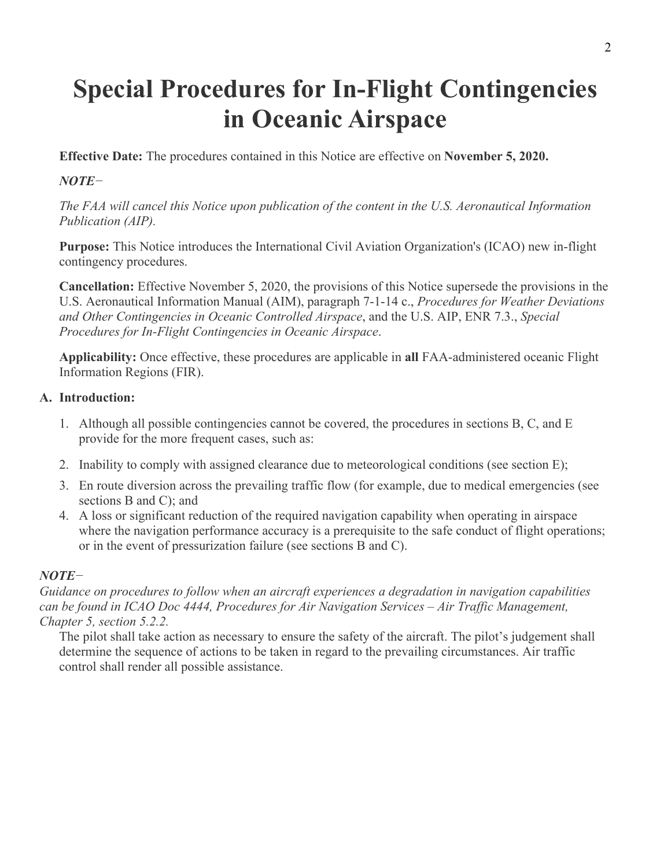## **Special Procedures for In-Flight Contingencies in Oceanic Airspace**

**Effective Date:** The procedures contained in this Notice are effective on **November 5, 2020.**

#### *NOTE−*

*The FAA will cancel this Notice upon publication of the content in the U.S. Aeronautical Information Publication (AIP).*

**Purpose:** This Notice introduces the International Civil Aviation Organization's (ICAO) new in-flight contingency procedures.

**Cancellation:** Effective November 5, 2020, the provisions of this Notice supersede the provisions in the U.S. Aeronautical Information Manual (AIM), paragraph 7-1-14 c., *Procedures for Weather Deviations and Other Contingencies in Oceanic Controlled Airspace*, and the U.S. AIP, ENR 7.3., *Special Procedures for In-Flight Contingencies in Oceanic Airspace*.

**Applicability:** Once effective, these procedures are applicable in **all** FAA-administered oceanic Flight Information Regions (FIR).

#### **A. Introduction:**

- 1. Although all possible contingencies cannot be covered, the procedures in sections B, C, and E provide for the more frequent cases, such as:
- 2. Inability to comply with assigned clearance due to meteorological conditions (see section E);
- 3. En route diversion across the prevailing traffic flow (for example, due to medical emergencies (see sections B and C); and
- 4. A loss or significant reduction of the required navigation capability when operating in airspace where the navigation performance accuracy is a prerequisite to the safe conduct of flight operations; or in the event of pressurization failure (see sections B and C).

#### *NOTE−*

*Guidance on procedures to follow when an aircraft experiences a degradation in navigation capabilities can be found in ICAO Doc 4444, Procedures for Air Navigation Services – Air Traffic Management, Chapter 5, section 5.2.2.*

The pilot shall take action as necessary to ensure the safety of the aircraft. The pilot's judgement shall determine the sequence of actions to be taken in regard to the prevailing circumstances. Air traffic control shall render all possible assistance.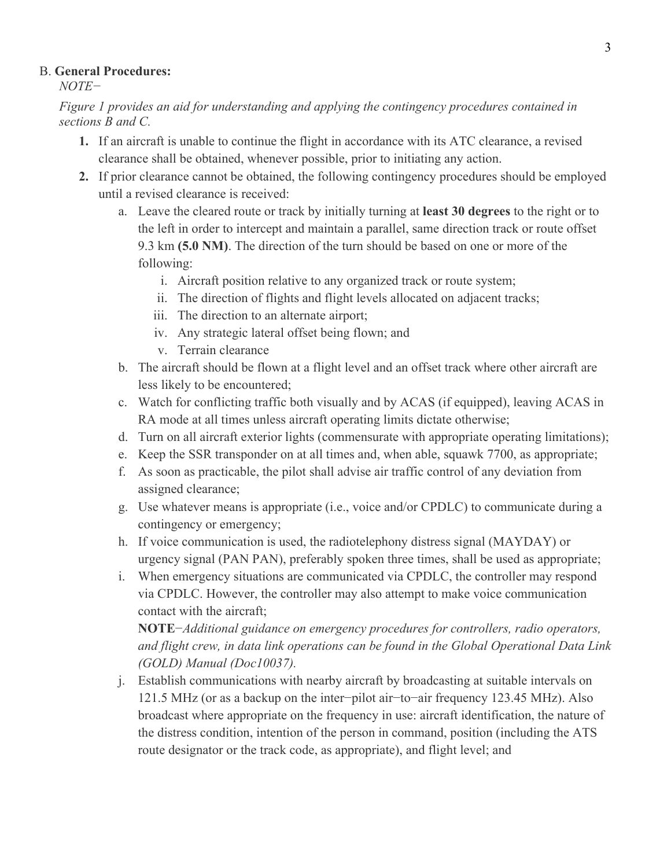#### B. **General Procedures:**

*NOTE−*

*Figure 1 provides an aid for understanding and applying the contingency procedures contained in sections B and C.*

- **1.** If an aircraft is unable to continue the flight in accordance with its ATC clearance, a revised clearance shall be obtained, whenever possible, prior to initiating any action.
- **2.** If prior clearance cannot be obtained, the following contingency procedures should be employed until a revised clearance is received:
	- a. Leave the cleared route or track by initially turning at **least 30 degrees** to the right or to the left in order to intercept and maintain a parallel, same direction track or route offset 9.3 km **(5.0 NM)**. The direction of the turn should be based on one or more of the following:
		- i. Aircraft position relative to any organized track or route system;
		- ii. The direction of flights and flight levels allocated on adjacent tracks;
		- iii. The direction to an alternate airport;
		- iv. Any strategic lateral offset being flown; and
		- v. Terrain clearance
	- b. The aircraft should be flown at a flight level and an offset track where other aircraft are less likely to be encountered;
	- c. Watch for conflicting traffic both visually and by ACAS (if equipped), leaving ACAS in RA mode at all times unless aircraft operating limits dictate otherwise;
	- d. Turn on all aircraft exterior lights (commensurate with appropriate operating limitations);
	- e. Keep the SSR transponder on at all times and, when able, squawk 7700, as appropriate;
	- f. As soon as practicable, the pilot shall advise air traffic control of any deviation from assigned clearance;
	- g. Use whatever means is appropriate (i.e., voice and/or CPDLC) to communicate during a contingency or emergency;
	- h. If voice communication is used, the radiotelephony distress signal (MAYDAY) or urgency signal (PAN PAN), preferably spoken three times, shall be used as appropriate;
	- i. When emergency situations are communicated via CPDLC, the controller may respond via CPDLC. However, the controller may also attempt to make voice communication contact with the aircraft;

**NOTE**−*Additional guidance on emergency procedures for controllers, radio operators, and flight crew, in data link operations can be found in the Global Operational Data Link (GOLD) Manual (Doc10037).*

j. Establish communications with nearby aircraft by broadcasting at suitable intervals on 121.5 MHz (or as a backup on the inter−pilot air−to−air frequency 123.45 MHz). Also broadcast where appropriate on the frequency in use: aircraft identification, the nature of the distress condition, intention of the person in command, position (including the ATS route designator or the track code, as appropriate), and flight level; and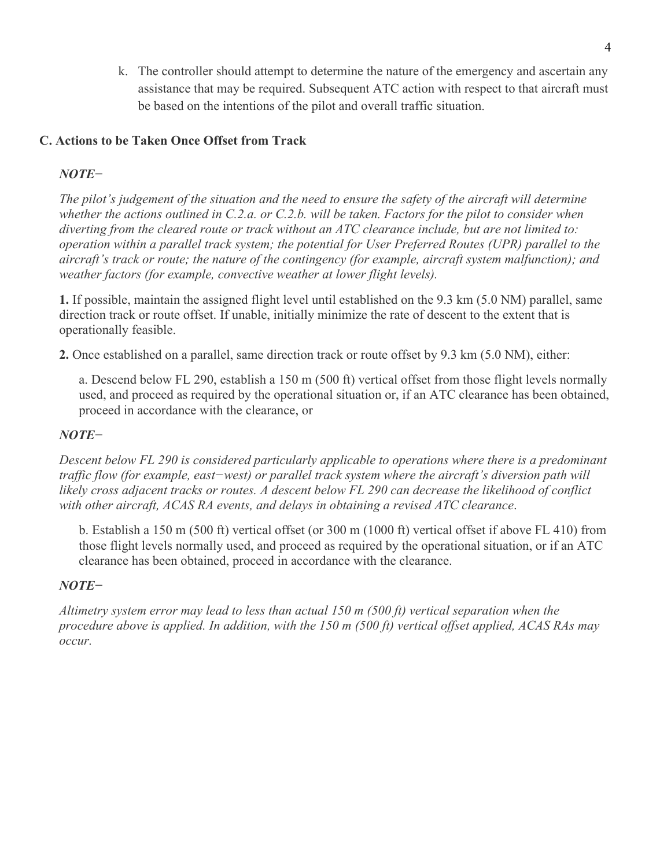k. The controller should attempt to determine the nature of the emergency and ascertain any assistance that may be required. Subsequent ATC action with respect to that aircraft must be based on the intentions of the pilot and overall traffic situation.

#### **C. Actions to be Taken Once Offset from Track**

#### *NOTE−*

*The pilot's judgement of the situation and the need to ensure the safety of the aircraft will determine whether the actions outlined in C.2.a. or C.2.b. will be taken. Factors for the pilot to consider when diverting from the cleared route or track without an ATC clearance include, but are not limited to: operation within a parallel track system; the potential for User Preferred Routes (UPR) parallel to the aircraft's track or route; the nature of the contingency (for example, aircraft system malfunction); and weather factors (for example, convective weather at lower flight levels).*

**1.** If possible, maintain the assigned flight level until established on the 9.3 km (5.0 NM) parallel, same direction track or route offset. If unable, initially minimize the rate of descent to the extent that is operationally feasible.

**2.** Once established on a parallel, same direction track or route offset by 9.3 km (5.0 NM), either:

a. Descend below FL 290, establish a 150 m (500 ft) vertical offset from those flight levels normally used, and proceed as required by the operational situation or, if an ATC clearance has been obtained, proceed in accordance with the clearance, or

#### *NOTE−*

*Descent below FL 290 is considered particularly applicable to operations where there is a predominant traffic flow (for example, east−west) or parallel track system where the aircraft's diversion path will likely cross adjacent tracks or routes. A descent below FL 290 can decrease the likelihood of conflict with other aircraft, ACAS RA events, and delays in obtaining a revised ATC clearance*.

b. Establish a 150 m (500 ft) vertical offset (or 300 m (1000 ft) vertical offset if above FL 410) from those flight levels normally used, and proceed as required by the operational situation, or if an ATC clearance has been obtained, proceed in accordance with the clearance.

#### *NOTE−*

*Altimetry system error may lead to less than actual 150 m (500 ft) vertical separation when the procedure above is applied. In addition, with the 150 m (500 ft) vertical offset applied, ACAS RAs may occur.*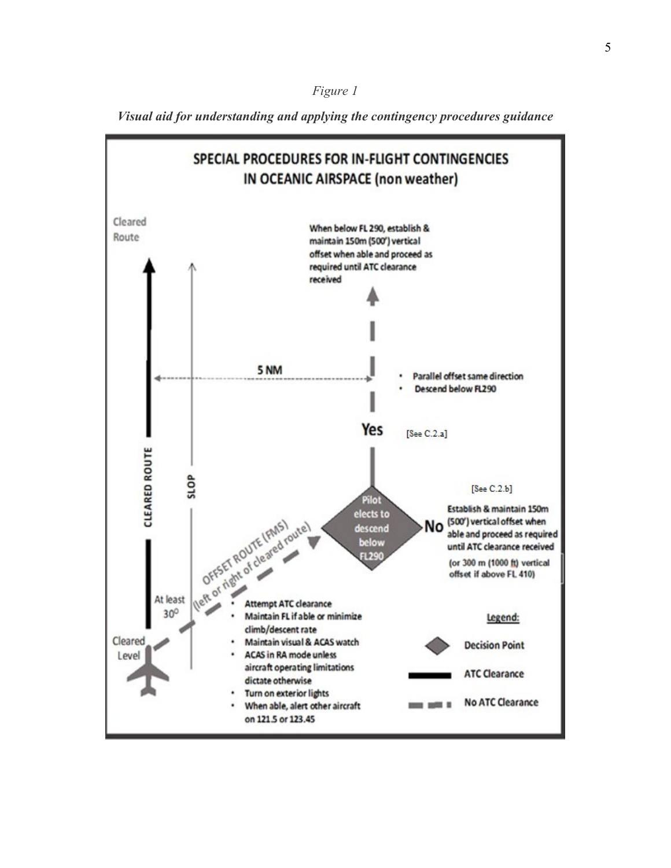

*Visual aid for understanding and applying the contingency procedures guidance*

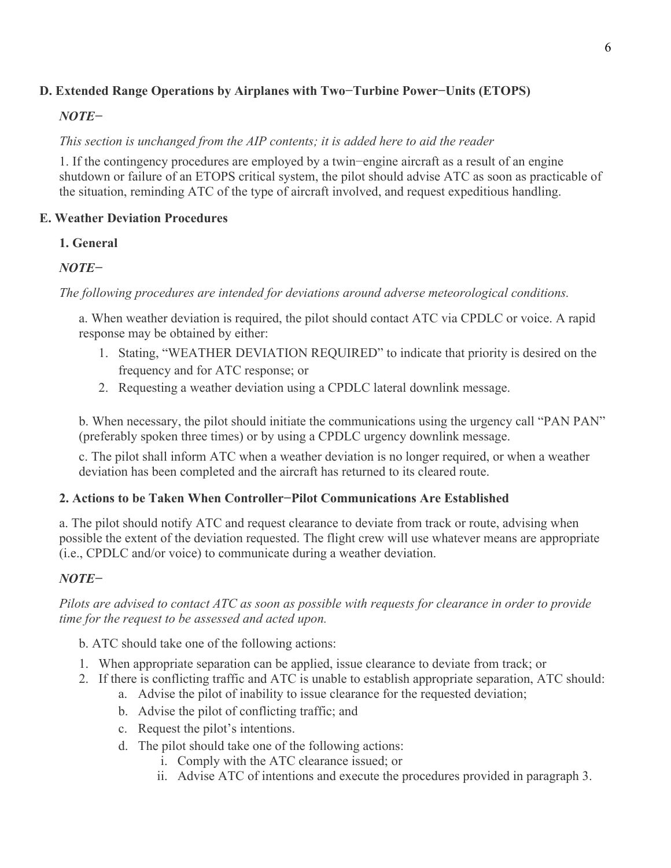#### **D. Extended Range Operations by Airplanes with Two−Turbine Power−Units (ETOPS)**

#### *NOTE−*

#### *This section is unchanged from the AIP contents; it is added here to aid the reader*

1. If the contingency procedures are employed by a twin−engine aircraft as a result of an engine shutdown or failure of an ETOPS critical system, the pilot should advise ATC as soon as practicable of the situation, reminding ATC of the type of aircraft involved, and request expeditious handling.

#### **E. Weather Deviation Procedures**

#### **1. General**

#### *NOTE−*

*The following procedures are intended for deviations around adverse meteorological conditions.*

a. When weather deviation is required, the pilot should contact ATC via CPDLC or voice. A rapid response may be obtained by either:

- 1. Stating, "WEATHER DEVIATION REQUIRED" to indicate that priority is desired on the frequency and for ATC response; or
- 2. Requesting a weather deviation using a CPDLC lateral downlink message.

b. When necessary, the pilot should initiate the communications using the urgency call "PAN PAN" (preferably spoken three times) or by using a CPDLC urgency downlink message.

c. The pilot shall inform ATC when a weather deviation is no longer required, or when a weather deviation has been completed and the aircraft has returned to its cleared route.

#### **2. Actions to be Taken When Controller−Pilot Communications Are Established**

a. The pilot should notify ATC and request clearance to deviate from track or route, advising when possible the extent of the deviation requested. The flight crew will use whatever means are appropriate (i.e., CPDLC and/or voice) to communicate during a weather deviation.

#### *NOTE−*

*Pilots are advised to contact ATC as soon as possible with requests for clearance in order to provide time for the request to be assessed and acted upon.*

b. ATC should take one of the following actions:

- 1. When appropriate separation can be applied, issue clearance to deviate from track; or
- 2. If there is conflicting traffic and ATC is unable to establish appropriate separation, ATC should:
	- a. Advise the pilot of inability to issue clearance for the requested deviation;
	- b. Advise the pilot of conflicting traffic; and
	- c. Request the pilot's intentions.
	- d. The pilot should take one of the following actions:
		- i. Comply with the ATC clearance issued; or
		- ii. Advise ATC of intentions and execute the procedures provided in paragraph 3.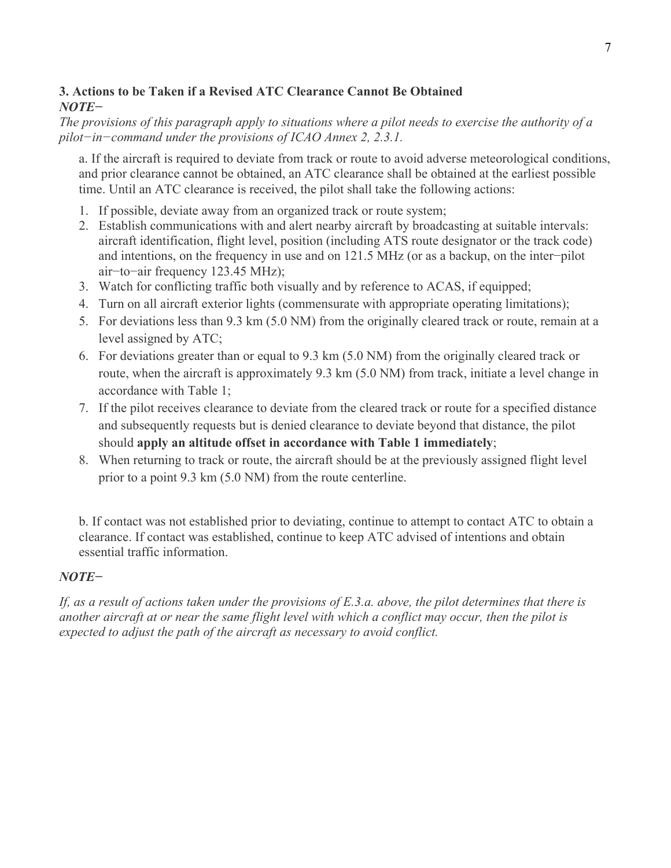#### **3. Actions to be Taken if a Revised ATC Clearance Cannot Be Obtained** *NOTE−*

*The provisions of this paragraph apply to situations where a pilot needs to exercise the authority of a pilot−in−command under the provisions of ICAO Annex 2, 2.3.1.*

a. If the aircraft is required to deviate from track or route to avoid adverse meteorological conditions, and prior clearance cannot be obtained, an ATC clearance shall be obtained at the earliest possible time. Until an ATC clearance is received, the pilot shall take the following actions:

- 1. If possible, deviate away from an organized track or route system;
- 2. Establish communications with and alert nearby aircraft by broadcasting at suitable intervals: aircraft identification, flight level, position (including ATS route designator or the track code) and intentions, on the frequency in use and on 121.5 MHz (or as a backup, on the inter−pilot air−to−air frequency 123.45 MHz);
- 3. Watch for conflicting traffic both visually and by reference to ACAS, if equipped;
- 4. Turn on all aircraft exterior lights (commensurate with appropriate operating limitations);
- 5. For deviations less than 9.3 km (5.0 NM) from the originally cleared track or route, remain at a level assigned by ATC;
- 6. For deviations greater than or equal to 9.3 km (5.0 NM) from the originally cleared track or route, when the aircraft is approximately 9.3 km (5.0 NM) from track, initiate a level change in accordance with Table 1;
- 7. If the pilot receives clearance to deviate from the cleared track or route for a specified distance and subsequently requests but is denied clearance to deviate beyond that distance, the pilot should **apply an altitude offset in accordance with Table 1 immediately**;
- 8. When returning to track or route, the aircraft should be at the previously assigned flight level prior to a point 9.3 km (5.0 NM) from the route centerline.

b. If contact was not established prior to deviating, continue to attempt to contact ATC to obtain a clearance. If contact was established, continue to keep ATC advised of intentions and obtain essential traffic information.

#### *NOTE−*

*If, as a result of actions taken under the provisions of E.3.a. above, the pilot determines that there is another aircraft at or near the same flight level with which a conflict may occur, then the pilot is expected to adjust the path of the aircraft as necessary to avoid conflict.*